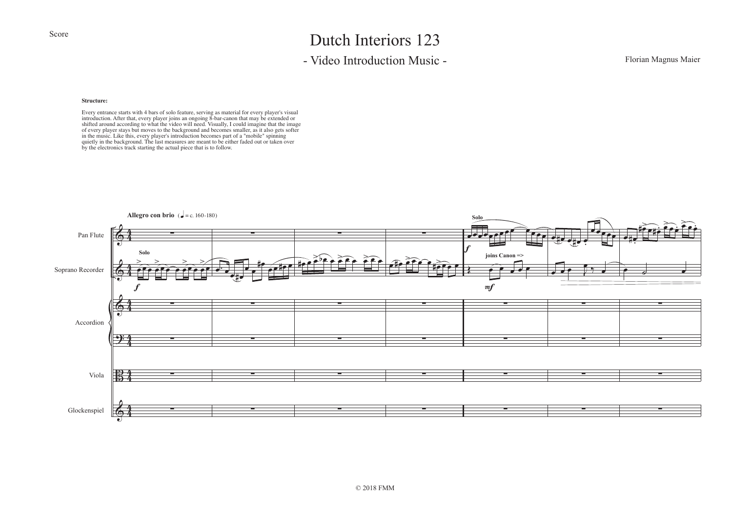## Dutch Interiors 123

## - Video Introduction Music -

Florian Magnus Maier

**Structure:**

Every entrance starts with 4 bars of solo feature, serving as material for every player's visual<br>introduction. After that, every player joins an ongoing 8-bar-canon that may be extended or<br>shifted around according to what

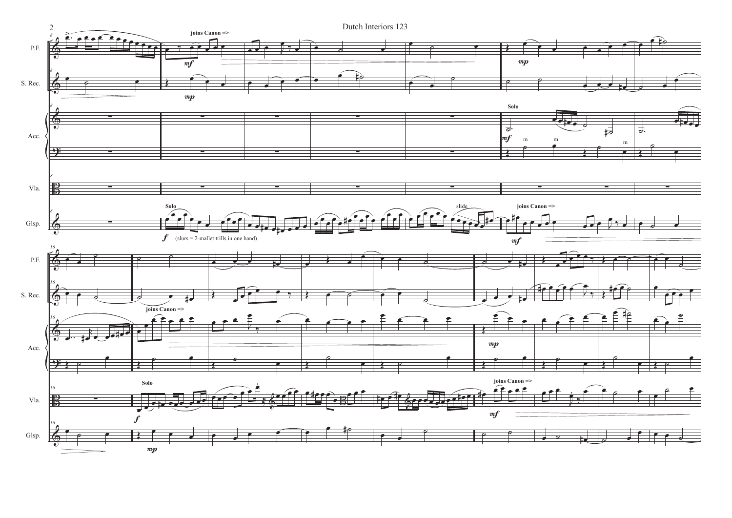